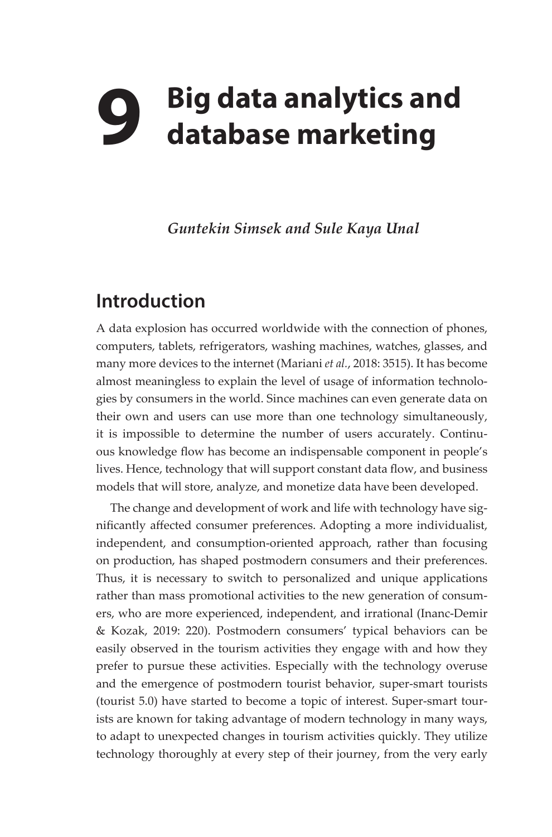## **9 Big data analytics and database marketing**

*Guntekin Simsek and Sule Kaya Unal*

## **Introduction**

A data explosion has occurred worldwide with the connection of phones, computers, tablets, refrigerators, washing machines, watches, glasses, and many more devices to the internet (Mariani *et al.*, 2018: 3515). It has become almost meaningless to explain the level of usage of information technologies by consumers in the world. Since machines can even generate data on their own and users can use more than one technology simultaneously, it is impossible to determine the number of users accurately. Continuous knowledge flow has become an indispensable component in people's lives. Hence, technology that will support constant data flow, and business models that will store, analyze, and monetize data have been developed.

The change and development of work and life with technology have significantly affected consumer preferences. Adopting a more individualist, independent, and consumption-oriented approach, rather than focusing on production, has shaped postmodern consumers and their preferences. Thus, it is necessary to switch to personalized and unique applications rather than mass promotional activities to the new generation of consumers, who are more experienced, independent, and irrational (Inanc-Demir & Kozak, 2019: 220). Postmodern consumers' typical behaviors can be easily observed in the tourism activities they engage with and how they prefer to pursue these activities. Especially with the technology overuse and the emergence of postmodern tourist behavior, super-smart tourists (tourist 5.0) have started to become a topic of interest. Super-smart tourists are known for taking advantage of modern technology in many ways, to adapt to unexpected changes in tourism activities quickly. They utilize technology thoroughly at every step of their journey, from the very early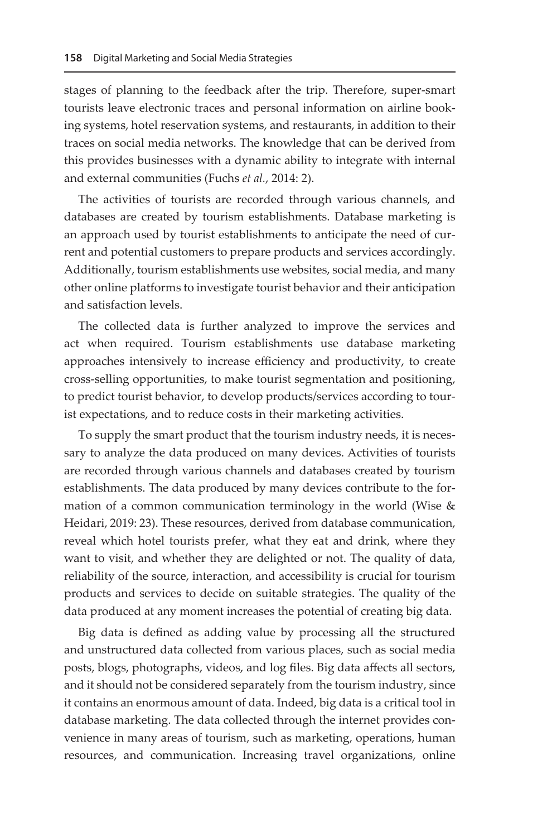stages of planning to the feedback after the trip. Therefore, super-smart tourists leave electronic traces and personal information on airline booking systems, hotel reservation systems, and restaurants, in addition to their traces on social media networks. The knowledge that can be derived from this provides businesses with a dynamic ability to integrate with internal and external communities (Fuchs *et al.*, 2014: 2).

The activities of tourists are recorded through various channels, and databases are created by tourism establishments. Database marketing is an approach used by tourist establishments to anticipate the need of current and potential customers to prepare products and services accordingly. Additionally, tourism establishments use websites, social media, and many other online platforms to investigate tourist behavior and their anticipation and satisfaction levels.

The collected data is further analyzed to improve the services and act when required. Tourism establishments use database marketing approaches intensively to increase efficiency and productivity, to create cross-selling opportunities, to make tourist segmentation and positioning, to predict tourist behavior, to develop products/services according to tourist expectations, and to reduce costs in their marketing activities.

To supply the smart product that the tourism industry needs, it is necessary to analyze the data produced on many devices. Activities of tourists are recorded through various channels and databases created by tourism establishments. The data produced by many devices contribute to the formation of a common communication terminology in the world (Wise  $\&$ Heidari, 2019: 23). These resources, derived from database communication, reveal which hotel tourists prefer, what they eat and drink, where they want to visit, and whether they are delighted or not. The quality of data, reliability of the source, interaction, and accessibility is crucial for tourism products and services to decide on suitable strategies. The quality of the data produced at any moment increases the potential of creating big data.

Big data is defined as adding value by processing all the structured and unstructured data collected from various places, such as social media posts, blogs, photographs, videos, and log files. Big data affects all sectors, and it should not be considered separately from the tourism industry, since it contains an enormous amount of data. Indeed, big data is a critical tool in database marketing. The data collected through the internet provides convenience in many areas of tourism, such as marketing, operations, human resources, and communication. Increasing travel organizations, online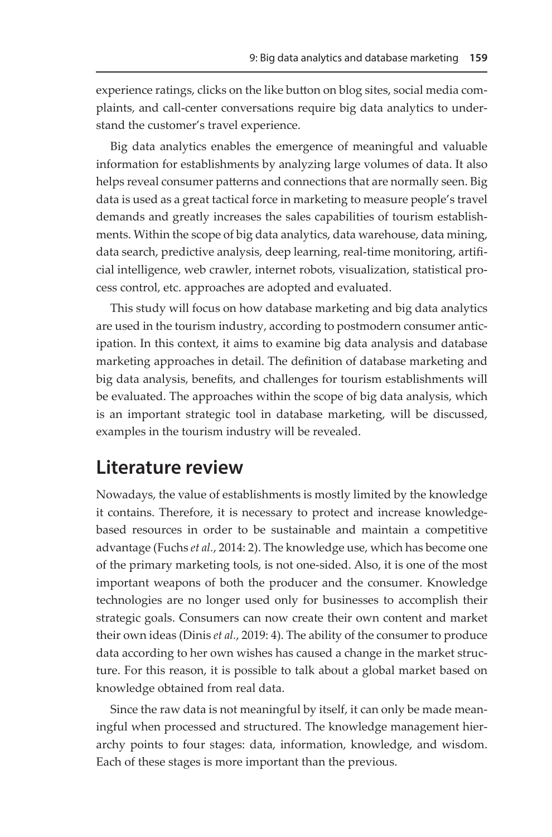experience ratings, clicks on the like button on blog sites, social media complaints, and call-center conversations require big data analytics to understand the customer's travel experience.

Big data analytics enables the emergence of meaningful and valuable information for establishments by analyzing large volumes of data. It also helps reveal consumer patterns and connections that are normally seen. Big data is used as a great tactical force in marketing to measure people's travel demands and greatly increases the sales capabilities of tourism establishments. Within the scope of big data analytics, data warehouse, data mining, data search, predictive analysis, deep learning, real-time monitoring, artificial intelligence, web crawler, internet robots, visualization, statistical process control, etc. approaches are adopted and evaluated.

This study will focus on how database marketing and big data analytics are used in the tourism industry, according to postmodern consumer anticipation. In this context, it aims to examine big data analysis and database marketing approaches in detail. The definition of database marketing and big data analysis, benefits, and challenges for tourism establishments will be evaluated. The approaches within the scope of big data analysis, which is an important strategic tool in database marketing, will be discussed, examples in the tourism industry will be revealed.

## **Literature review**

Nowadays, the value of establishments is mostly limited by the knowledge it contains. Therefore, it is necessary to protect and increase knowledgebased resources in order to be sustainable and maintain a competitive advantage (Fuchs *et al.*, 2014: 2). The knowledge use, which has become one of the primary marketing tools, is not one-sided. Also, it is one of the most important weapons of both the producer and the consumer. Knowledge technologies are no longer used only for businesses to accomplish their strategic goals. Consumers can now create their own content and market their own ideas (Dinis *et al.*, 2019: 4). The ability of the consumer to produce data according to her own wishes has caused a change in the market structure. For this reason, it is possible to talk about a global market based on knowledge obtained from real data.

Since the raw data is not meaningful by itself, it can only be made meaningful when processed and structured. The knowledge management hierarchy points to four stages: data, information, knowledge, and wisdom. Each of these stages is more important than the previous.